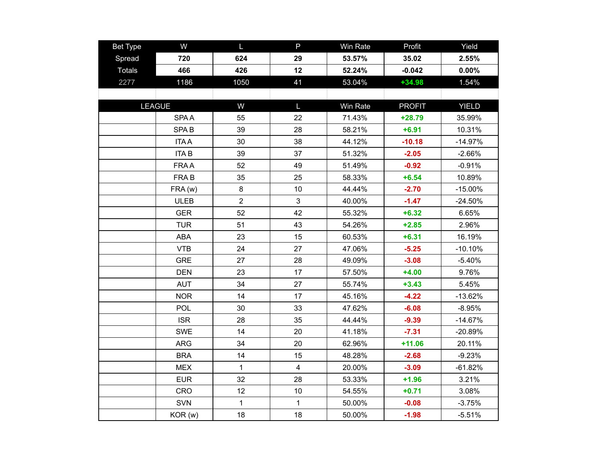| <b>Bet Type</b> | W                | L.             | P              | Win Rate | Profit        | Yield        |
|-----------------|------------------|----------------|----------------|----------|---------------|--------------|
| Spread          | 720              | 624            | 29             | 53.57%   | 35.02         | 2.55%        |
| <b>Totals</b>   | 466              | 426            | 12             | 52.24%   | $-0.042$      | 0.00%        |
| 2277            | 1186             | 1050           | 41             | 53.04%   | $+34.98$      | 1.54%        |
|                 |                  |                |                |          |               |              |
|                 | <b>LEAGUE</b>    |                | $\mathsf{L}$   | Win Rate | <b>PROFIT</b> | <b>YIELD</b> |
|                 | <b>SPAA</b>      | 55             | 22             | 71.43%   | $+28.79$      | 35.99%       |
|                 | SPA <sub>B</sub> | 39             | 28             | 58.21%   | $+6.91$       | 10.31%       |
|                 | <b>ITAA</b>      | 30             | 38             | 44.12%   | $-10.18$      | $-14.97%$    |
|                 | <b>ITAB</b>      | 39             | 37             | 51.32%   | $-2.05$       | $-2.66%$     |
|                 | <b>FRAA</b>      | 52             | 49             | 51.49%   | $-0.92$       | $-0.91%$     |
|                 | FRA B            | 35             | 25             | 58.33%   | $+6.54$       | 10.89%       |
|                 | FRA (w)          | 8              | 10             | 44.44%   | $-2.70$       | $-15.00%$    |
|                 | <b>ULEB</b>      | $\overline{2}$ | 3              | 40.00%   | $-1.47$       | $-24.50%$    |
|                 | <b>GER</b>       | 52             | 42             | 55.32%   | $+6.32$       | 6.65%        |
|                 | <b>TUR</b>       | 51             | 43             | 54.26%   | $+2.85$       | 2.96%        |
|                 | <b>ABA</b>       | 23             | 15             | 60.53%   | $+6.31$       | 16.19%       |
|                 | <b>VTB</b>       | 24             | 27             | 47.06%   | $-5.25$       | $-10.10%$    |
|                 | <b>GRE</b>       | 27             | 28             | 49.09%   | $-3.08$       | $-5.40%$     |
|                 | <b>DEN</b>       | 23             | 17             | 57.50%   | $+4.00$       | 9.76%        |
|                 | <b>AUT</b>       | 34             | 27             | 55.74%   | $+3.43$       | 5.45%        |
|                 | <b>NOR</b>       | 14             | 17             | 45.16%   | $-4.22$       | $-13.62%$    |
|                 | POL              | 30             | 33             | 47.62%   | $-6.08$       | $-8.95%$     |
|                 | <b>ISR</b>       | 28             | 35             | 44.44%   | $-9.39$       | $-14.67%$    |
|                 | <b>SWE</b>       | 14             | 20             | 41.18%   | $-7.31$       | $-20.89%$    |
|                 | <b>ARG</b>       | 34             | 20             | 62.96%   | $+11.06$      | 20.11%       |
|                 | <b>BRA</b>       | 14             | 15             | 48.28%   | $-2.68$       | $-9.23%$     |
|                 | <b>MEX</b>       | $\mathbf{1}$   | $\overline{4}$ | 20.00%   | $-3.09$       | $-61.82%$    |
|                 | <b>EUR</b>       | 32             | 28             | 53.33%   | $+1.96$       | 3.21%        |
|                 | CRO              | 12             | 10             | 54.55%   | $+0.71$       | 3.08%        |
|                 | <b>SVN</b>       | $\mathbf{1}$   | $\mathbf{1}$   | 50.00%   | $-0.08$       | $-3.75%$     |
|                 | KOR (w)          | 18             | 18             | 50.00%   | $-1.98$       | $-5.51%$     |